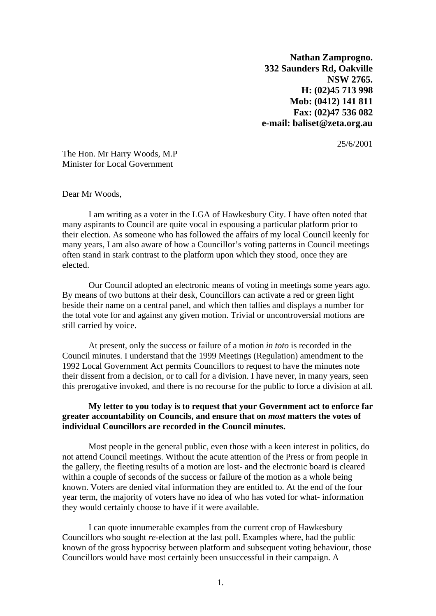**Nathan Zamprogno. 332 Saunders Rd, Oakville NSW 2765. H: (02)45 713 998 Mob: (0412) 141 811 Fax: (02)47 536 082 e-mail: [baliset@zeta.org.au](mailto:baliset@zeta.org.au)**

25/6/2001

The Hon. Mr Harry Woods, M.P Minister for Local Government

Dear Mr Woods,

I am writing as a voter in the LGA of Hawkesbury City. I have often noted that many aspirants to Council are quite vocal in espousing a particular platform prior to their election. As someone who has followed the affairs of my local Council keenly for many years, I am also aware of how a Councillor's voting patterns in Council meetings often stand in stark contrast to the platform upon which they stood, once they are elected.

Our Council adopted an electronic means of voting in meetings some years ago. By means of two buttons at their desk, Councillors can activate a red or green light beside their name on a central panel, and which then tallies and displays a number for the total vote for and against any given motion. Trivial or uncontroversial motions are still carried by voice.

At present, only the success or failure of a motion *in toto* is recorded in the Council minutes. I understand that the 1999 Meetings (Regulation) amendment to the 1992 Local Government Act permits Councillors to request to have the minutes note their dissent from a decision, or to call for a division. I have never, in many years, seen this prerogative invoked, and there is no recourse for the public to force a division at all.

## **My letter to you today is to request that your Government act to enforce far greater accountability on Councils, and ensure that on** *most* **matters the votes of individual Councillors are recorded in the Council minutes.**

Most people in the general public, even those with a keen interest in politics, do not attend Council meetings. Without the acute attention of the Press or from people in the gallery, the fleeting results of a motion are lost- and the electronic board is cleared within a couple of seconds of the success or failure of the motion as a whole being known. Voters are denied vital information they are entitled to. At the end of the four year term, the majority of voters have no idea of who has voted for what- information they would certainly choose to have if it were available.

I can quote innumerable examples from the current crop of Hawkesbury Councillors who sought *re*-election at the last poll. Examples where, had the public known of the gross hypocrisy between platform and subsequent voting behaviour, those Councillors would have most certainly been unsuccessful in their campaign. A